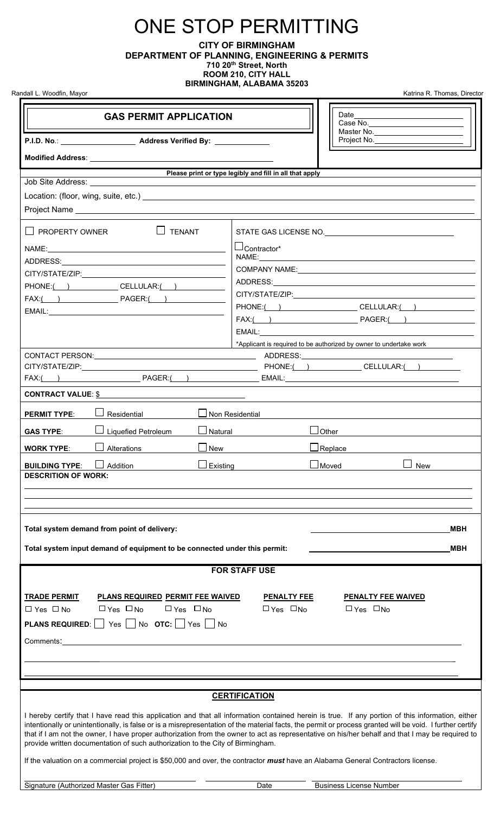## ONE STOP PERMITTING

**CITY OF BIRMINGHAM DEPARTMENT OF PLANNING, ENGINEERING & PERMITS 710 20th Street, North ROOM 210, CITY HALL BIRMINGHAM, ALABAMA 35203**

Randall L. Woodfin, Mayor **Katrina R. Thomas, Director** Katrina R. Thomas, Director

| <b>GAS PERMIT APPLICATION</b>                                                                                                          |                                                                                                                                                                                                                                                                                                                                                                                                                                                                  |  |
|----------------------------------------------------------------------------------------------------------------------------------------|------------------------------------------------------------------------------------------------------------------------------------------------------------------------------------------------------------------------------------------------------------------------------------------------------------------------------------------------------------------------------------------------------------------------------------------------------------------|--|
|                                                                                                                                        | Master No.<br>Project No. ________________________                                                                                                                                                                                                                                                                                                                                                                                                               |  |
| Modified Address: Universe and Separate and Separate and Separate and Separate and Separate and Separate and                           |                                                                                                                                                                                                                                                                                                                                                                                                                                                                  |  |
| Job Site Address: <u>___________________</u>                                                                                           | Please print or type legibly and fill in all that apply                                                                                                                                                                                                                                                                                                                                                                                                          |  |
|                                                                                                                                        |                                                                                                                                                                                                                                                                                                                                                                                                                                                                  |  |
|                                                                                                                                        |                                                                                                                                                                                                                                                                                                                                                                                                                                                                  |  |
| $\Box$ PROPERTY OWNER<br>$\Box$ TENANT                                                                                                 | STATE GAS LICENSE NO. <b>CONSERVERSE IN A STATE GAS</b>                                                                                                                                                                                                                                                                                                                                                                                                          |  |
|                                                                                                                                        | LContractor*                                                                                                                                                                                                                                                                                                                                                                                                                                                     |  |
|                                                                                                                                        |                                                                                                                                                                                                                                                                                                                                                                                                                                                                  |  |
|                                                                                                                                        |                                                                                                                                                                                                                                                                                                                                                                                                                                                                  |  |
| PHONE:( ) CELLULAR:( )                                                                                                                 |                                                                                                                                                                                                                                                                                                                                                                                                                                                                  |  |
|                                                                                                                                        | PHONE:( ) CELLULAR:( )                                                                                                                                                                                                                                                                                                                                                                                                                                           |  |
|                                                                                                                                        |                                                                                                                                                                                                                                                                                                                                                                                                                                                                  |  |
|                                                                                                                                        |                                                                                                                                                                                                                                                                                                                                                                                                                                                                  |  |
|                                                                                                                                        | *Applicant is required to be authorized by owner to undertake work                                                                                                                                                                                                                                                                                                                                                                                               |  |
|                                                                                                                                        |                                                                                                                                                                                                                                                                                                                                                                                                                                                                  |  |
|                                                                                                                                        |                                                                                                                                                                                                                                                                                                                                                                                                                                                                  |  |
|                                                                                                                                        |                                                                                                                                                                                                                                                                                                                                                                                                                                                                  |  |
| <b>CONTRACT VALUE: \$</b>                                                                                                              |                                                                                                                                                                                                                                                                                                                                                                                                                                                                  |  |
| Residential<br><b>PERMIT TYPE:</b>                                                                                                     | Non Residential                                                                                                                                                                                                                                                                                                                                                                                                                                                  |  |
| <b>Liquefied Petroleum</b><br>Natural<br><b>GAS TYPE:</b>                                                                              | Other                                                                                                                                                                                                                                                                                                                                                                                                                                                            |  |
|                                                                                                                                        |                                                                                                                                                                                                                                                                                                                                                                                                                                                                  |  |
| Alterations<br>New<br><b>WORK TYPE:</b>                                                                                                | $\Box$ Replace                                                                                                                                                                                                                                                                                                                                                                                                                                                   |  |
| $\Box$ Existing<br>$\Box$ Addition<br><b>BUILDING TYPE:</b><br><b>DESCRITION OF WORK:</b>                                              | $\Box$ New<br>$\Box$ Moved $\Box$                                                                                                                                                                                                                                                                                                                                                                                                                                |  |
|                                                                                                                                        |                                                                                                                                                                                                                                                                                                                                                                                                                                                                  |  |
|                                                                                                                                        |                                                                                                                                                                                                                                                                                                                                                                                                                                                                  |  |
|                                                                                                                                        |                                                                                                                                                                                                                                                                                                                                                                                                                                                                  |  |
| Total system demand from point of delivery:<br>MBH                                                                                     |                                                                                                                                                                                                                                                                                                                                                                                                                                                                  |  |
|                                                                                                                                        |                                                                                                                                                                                                                                                                                                                                                                                                                                                                  |  |
| Total system input demand of equipment to be connected under this permit:<br><b>MBH</b>                                                |                                                                                                                                                                                                                                                                                                                                                                                                                                                                  |  |
| <b>FOR STAFF USE</b>                                                                                                                   |                                                                                                                                                                                                                                                                                                                                                                                                                                                                  |  |
|                                                                                                                                        |                                                                                                                                                                                                                                                                                                                                                                                                                                                                  |  |
| <b>TRADE PERMIT</b><br><b>PLANS REQUIRED PERMIT FEE WAIVED</b><br>$\Box$ Yes $\Box$ No<br>$\Box$ Yes $\Box$ No<br>$\Box$ Yes $\Box$ No | <b>PENALTY FEE</b><br><b>PENALTY FEE WAIVED</b><br>$\Box$ Yes $\Box$ No<br>$\Box$ Yes $\Box$ No                                                                                                                                                                                                                                                                                                                                                                  |  |
| <b>PLANS REQUIRED:</b>   Yes     No <b>OTC:</b>   Yes     No                                                                           |                                                                                                                                                                                                                                                                                                                                                                                                                                                                  |  |
|                                                                                                                                        |                                                                                                                                                                                                                                                                                                                                                                                                                                                                  |  |
| Comments:                                                                                                                              |                                                                                                                                                                                                                                                                                                                                                                                                                                                                  |  |
|                                                                                                                                        |                                                                                                                                                                                                                                                                                                                                                                                                                                                                  |  |
|                                                                                                                                        |                                                                                                                                                                                                                                                                                                                                                                                                                                                                  |  |
|                                                                                                                                        | <b>CERTIFICATION</b>                                                                                                                                                                                                                                                                                                                                                                                                                                             |  |
| provide written documentation of such authorization to the City of Birmingham.                                                         | I hereby certify that I have read this application and that all information contained herein is true. If any portion of this information, either<br>intentionally or unintentionally, is false or is a misrepresentation of the material facts, the permit or process granted will be void. I further certify<br>that if I am not the owner, I have proper authorization from the owner to act as representative on his/her behalf and that I may be required to |  |
|                                                                                                                                        | If the valuation on a commercial project is \$50,000 and over, the contractor must have an Alabama General Contractors license.                                                                                                                                                                                                                                                                                                                                  |  |
| Signature (Authorized Master Gas Fitter)                                                                                               | <b>Business License Number</b><br>Date                                                                                                                                                                                                                                                                                                                                                                                                                           |  |